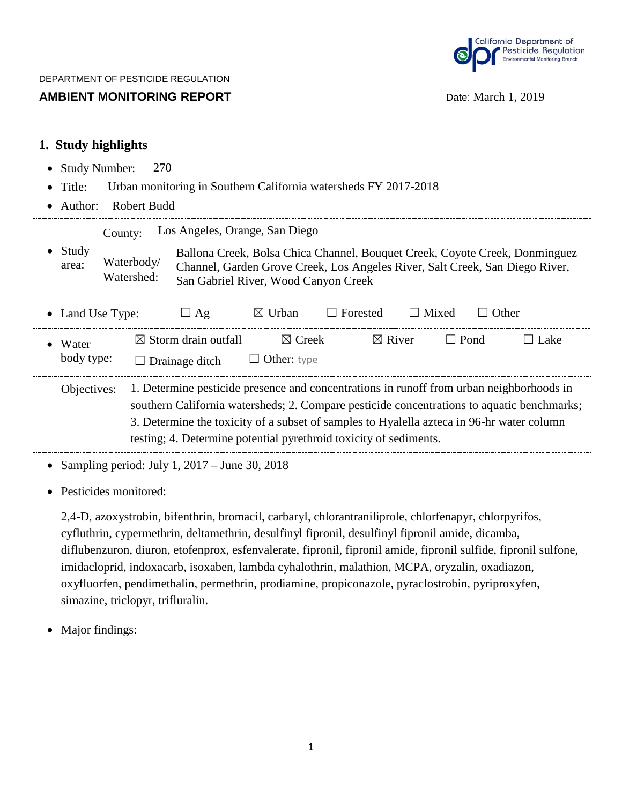

## **AMBIENT MONITORING REPORT DATE: NAMBIENT MONITORING REPORT DATE: Date: March 1, 2019**

| 1. Study highlights                                                                                                                                                                                                                               |  |  |  |  |  |  |  |  |  |  |  |
|---------------------------------------------------------------------------------------------------------------------------------------------------------------------------------------------------------------------------------------------------|--|--|--|--|--|--|--|--|--|--|--|
| 270<br><b>Study Number:</b>                                                                                                                                                                                                                       |  |  |  |  |  |  |  |  |  |  |  |
| Urban monitoring in Southern California watersheds FY 2017-2018<br>Title:                                                                                                                                                                         |  |  |  |  |  |  |  |  |  |  |  |
| <b>Robert Budd</b><br>Author:<br>$\bullet$                                                                                                                                                                                                        |  |  |  |  |  |  |  |  |  |  |  |
| Los Angeles, Orange, San Diego<br>County:                                                                                                                                                                                                         |  |  |  |  |  |  |  |  |  |  |  |
| Study<br>Ballona Creek, Bolsa Chica Channel, Bouquet Creek, Coyote Creek, Donminguez<br>Waterbody/<br>area:<br>Channel, Garden Grove Creek, Los Angeles River, Salt Creek, San Diego River,<br>Watershed:<br>San Gabriel River, Wood Canyon Creek |  |  |  |  |  |  |  |  |  |  |  |
| $\boxtimes$ Urban<br>$\Box$ Forested<br>$\Box$ Mixed<br>$\Box$ Other<br>$\Box$ Ag<br>• Land Use Type:                                                                                                                                             |  |  |  |  |  |  |  |  |  |  |  |
| $\boxtimes$ Storm drain outfall<br>$\boxtimes$ Creek<br>$\boxtimes$ River<br>$\Box$ Pond<br>$\Box$ Lake<br>Water                                                                                                                                  |  |  |  |  |  |  |  |  |  |  |  |
| body type:<br>Other: type<br>$\Box$ Drainage ditch                                                                                                                                                                                                |  |  |  |  |  |  |  |  |  |  |  |
| 1. Determine pesticide presence and concentrations in runoff from urban neighborhoods in<br>Objectives:                                                                                                                                           |  |  |  |  |  |  |  |  |  |  |  |
| southern California watersheds; 2. Compare pesticide concentrations to aquatic benchmarks;                                                                                                                                                        |  |  |  |  |  |  |  |  |  |  |  |
| 3. Determine the toxicity of a subset of samples to Hyalella azteca in 96-hr water column                                                                                                                                                         |  |  |  |  |  |  |  |  |  |  |  |
| testing; 4. Determine potential pyrethroid toxicity of sediments.                                                                                                                                                                                 |  |  |  |  |  |  |  |  |  |  |  |
| Sampling period: July 1, $2017 -$ June 30, 2018                                                                                                                                                                                                   |  |  |  |  |  |  |  |  |  |  |  |
| Pesticides monitored:                                                                                                                                                                                                                             |  |  |  |  |  |  |  |  |  |  |  |

2,4-D, azoxystrobin, bifenthrin, bromacil, carbaryl, chlorantraniliprole, chlorfenapyr, chlorpyrifos, cyfluthrin, cypermethrin, deltamethrin, desulfinyl fipronil, desulfinyl fipronil amide, dicamba, diflubenzuron, diuron, etofenprox, esfenvalerate, fipronil, fipronil amide, fipronil sulfide, fipronil sulfone, imidacloprid, indoxacarb, isoxaben, lambda cyhalothrin, malathion, MCPA, oryzalin, oxadiazon, oxyfluorfen, pendimethalin, permethrin, prodiamine, propiconazole, pyraclostrobin, pyriproxyfen, simazine, triclopyr, trifluralin.

• Major findings: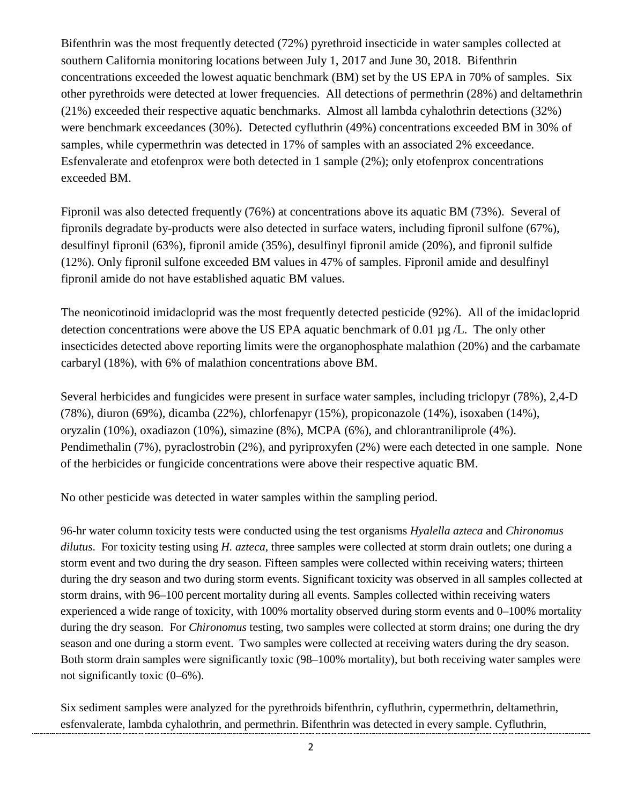Bifenthrin was the most frequently detected (72%) pyrethroid insecticide in water samples collected at southern California monitoring locations between July 1, 2017 and June 30, 2018. Bifenthrin concentrations exceeded the lowest aquatic benchmark (BM) set by the US EPA in 70% of samples. Six other pyrethroids were detected at lower frequencies. All detections of permethrin (28%) and deltamethrin (21%) exceeded their respective aquatic benchmarks. Almost all lambda cyhalothrin detections (32%) were benchmark exceedances (30%). Detected cyfluthrin (49%) concentrations exceeded BM in 30% of samples, while cypermethrin was detected in 17% of samples with an associated 2% exceedance. Esfenvalerate and etofenprox were both detected in 1 sample (2%); only etofenprox concentrations exceeded BM.

Fipronil was also detected frequently (76%) at concentrations above its aquatic BM (73%). Several of fipronils degradate by-products were also detected in surface waters, including fipronil sulfone (67%), desulfinyl fipronil (63%), fipronil amide (35%), desulfinyl fipronil amide (20%), and fipronil sulfide (12%). Only fipronil sulfone exceeded BM values in 47% of samples. Fipronil amide and desulfinyl fipronil amide do not have established aquatic BM values.

The neonicotinoid imidacloprid was the most frequently detected pesticide (92%). All of the imidacloprid detection concentrations were above the US EPA aquatic benchmark of 0.01 µg /L. The only other insecticides detected above reporting limits were the organophosphate malathion (20%) and the carbamate carbaryl (18%), with 6% of malathion concentrations above BM.

Several herbicides and fungicides were present in surface water samples, including triclopyr (78%), 2,4-D (78%), diuron (69%), dicamba (22%), chlorfenapyr (15%), propiconazole (14%), isoxaben (14%), oryzalin (10%), oxadiazon (10%), simazine (8%), MCPA (6%), and chlorantraniliprole (4%). Pendimethalin (7%), pyraclostrobin (2%), and pyriproxyfen (2%) were each detected in one sample. None of the herbicides or fungicide concentrations were above their respective aquatic BM.

No other pesticide was detected in water samples within the sampling period.

96-hr water column toxicity tests were conducted using the test organisms *Hyalella azteca* and *Chironomus dilutus*. For toxicity testing using *H. azteca*, three samples were collected at storm drain outlets; one during a storm event and two during the dry season. Fifteen samples were collected within receiving waters; thirteen during the dry season and two during storm events. Significant toxicity was observed in all samples collected at storm drains, with 96–100 percent mortality during all events. Samples collected within receiving waters experienced a wide range of toxicity, with 100% mortality observed during storm events and 0–100% mortality during the dry season. For *Chironomus* testing, two samples were collected at storm drains; one during the dry season and one during a storm event. Two samples were collected at receiving waters during the dry season. Both storm drain samples were significantly toxic (98–100% mortality), but both receiving water samples were not significantly toxic (0–6%).

Six sediment samples were analyzed for the pyrethroids bifenthrin, cyfluthrin, cypermethrin, deltamethrin, esfenvalerate, lambda cyhalothrin, and permethrin. Bifenthrin was detected in every sample. Cyfluthrin,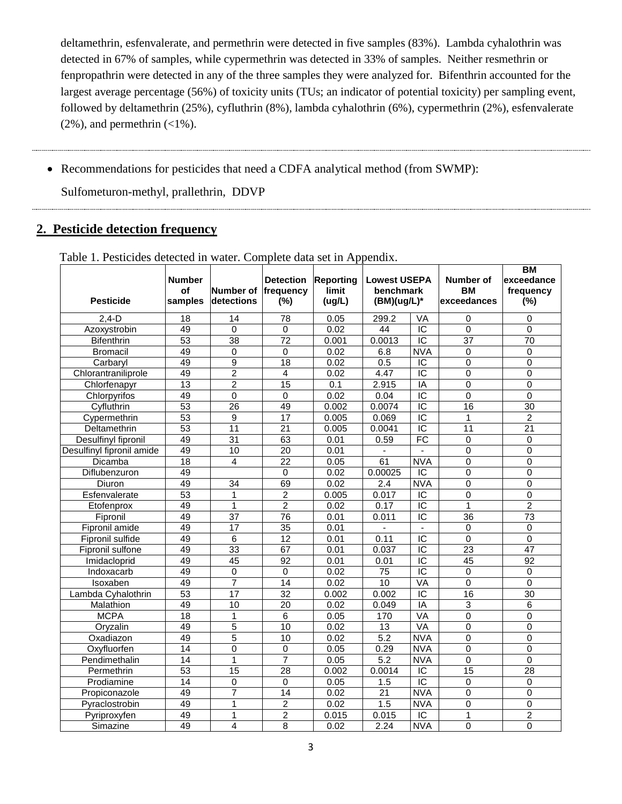deltamethrin, esfenvalerate, and permethrin were detected in five samples (83%). Lambda cyhalothrin was detected in 67% of samples, while cypermethrin was detected in 33% of samples. Neither resmethrin or fenpropathrin were detected in any of the three samples they were analyzed for. Bifenthrin accounted for the largest average percentage (56%) of toxicity units (TUs; an indicator of potential toxicity) per sampling event, followed by deltamethrin (25%), cyfluthrin (8%), lambda cyhalothrin (6%), cypermethrin (2%), esfenvalerate  $(2\%)$ , and permethrin  $(\leq 1\%)$ .

• Recommendations for pesticides that need a CDFA analytical method (from SWMP):

Sulfometuron-methyl, prallethrin, DDVP

## **2. Pesticide detection frequency**

| <b>Pesticide</b>          | <b>Number</b><br>Number of<br>οf<br>detections<br>samples |                 | <b>Detection</b><br>frequency<br>(%) | <b>Lowest USEPA</b><br>benchmark<br>$(BM)(ug/L)^*$ |                  | Number of<br><b>BM</b><br>exceedances | ВM<br>exceedance<br>frequency<br>(%) |                 |
|---------------------------|-----------------------------------------------------------|-----------------|--------------------------------------|----------------------------------------------------|------------------|---------------------------------------|--------------------------------------|-----------------|
| $2,4-D$                   | $\overline{18}$                                           | 14              | $\overline{78}$                      | 0.05                                               | 299.2            | <b>VA</b>                             | $\Omega$                             | $\Omega$        |
| Azoxystrobin              | 49                                                        | $\mathbf 0$     | $\mathbf 0$                          | 0.02                                               | 44               | $\overline{IC}$                       | $\overline{0}$                       | 0               |
| <b>Bifenthrin</b>         | $\overline{53}$                                           | $\overline{38}$ | $\overline{72}$                      | 0.001                                              | 0.0013           | $\overline{C}$                        | $\overline{37}$                      | 70              |
| <b>Bromacil</b>           | 49                                                        | $\Omega$        | $\mathbf 0$                          | 0.02                                               | 6.8              | <b>NVA</b>                            | $\Omega$                             | $\overline{0}$  |
| Carbaryl                  | 49                                                        | $\overline{9}$  | $\overline{18}$                      | 0.02                                               | 0.5              | $\overline{IC}$                       | $\overline{0}$                       | $\overline{0}$  |
| Chlorantraniliprole       | 49                                                        | $\overline{2}$  | $\overline{\mathbf{4}}$              | 0.02                                               | 4.47             | $\overline{IC}$                       | 0                                    | $\overline{0}$  |
| Chlorfenapyr              | $\overline{13}$                                           | $\overline{2}$  | 15                                   | 0.1                                                | 2.915            | IA                                    | 0                                    | 0               |
| Chlorpyrifos              | 49                                                        | $\overline{0}$  | $\overline{0}$                       | 0.02                                               | 0.04             | $\overline{IC}$                       | $\overline{0}$                       | $\overline{0}$  |
| Cyfluthrin                | 53                                                        | $\overline{26}$ | 49                                   | 0.002                                              | 0.0074           | $\overline{C}$                        | $\overline{16}$                      | 30              |
| Cypermethrin              | $\overline{53}$                                           | $\overline{9}$  | 17                                   | 0.005                                              | 0.069            | $\overline{IC}$                       | $\mathbf{1}$                         | $\overline{c}$  |
| Deltamethrin              | 53                                                        | 11              | 21                                   | 0.005                                              | 0.0041           | $\overline{IC}$                       | 11                                   | 21              |
| Desulfinyl fipronil       | 49                                                        | $\overline{31}$ | 63                                   | 0.01                                               | 0.59             | FC                                    | $\mathbf 0$                          | $\mathbf 0$     |
| Desulfinyl fipronil amide | 49                                                        | 10              | $\overline{20}$                      | 0.01                                               |                  |                                       | 0                                    | $\overline{0}$  |
| Dicamba                   | $\overline{18}$                                           | 4               | $\overline{22}$                      | 0.05                                               | 61               | <b>NVA</b>                            | 0                                    | $\mathsf 0$     |
| Diflubenzuron             | 49                                                        |                 | $\Omega$                             | 0.02                                               | 0.00025          | IC                                    | 0                                    | 0               |
| Diuron                    | 49                                                        | 34              | 69                                   | 0.02                                               | 2.4              | <b>NVA</b>                            | 0                                    | 0               |
| Esfenvalerate             | 53                                                        |                 | $\overline{2}$                       | 0.005                                              | 0.017            | $\overline{C}$                        | 0                                    | $\overline{0}$  |
| Etofenprox                | 49                                                        | $\mathbf{1}$    | $\overline{2}$                       | 0.02                                               | 0.17             | $\overline{IC}$                       | $\mathbf{1}$                         | $\overline{2}$  |
| Fipronil                  | 49                                                        | $\overline{37}$ | $\overline{76}$                      | 0.01                                               | 0.011            | $\overline{C}$                        | $\overline{36}$                      | $\overline{73}$ |
| Fipronil amide            | 49                                                        | $\overline{17}$ | $\overline{35}$                      | 0.01                                               | ÷.               | $\overline{a}$                        | $\Omega$                             | $\Omega$        |
| Fipronil sulfide          | 49                                                        | $\overline{6}$  | 12                                   | 0.01                                               | 0.11             | $\overline{IC}$                       | $\overline{0}$                       | $\overline{0}$  |
| Fipronil sulfone          | 49                                                        | 33              | 67                                   | 0.01                                               | 0.037            | $\overline{IC}$                       | $\overline{23}$                      | 47              |
| Imidacloprid              | 49                                                        | $\overline{45}$ | $\overline{92}$                      | 0.01                                               | 0.01             | $\overline{IC}$                       | $\overline{45}$                      | $\overline{92}$ |
| Indoxacarb                | 49                                                        | $\pmb{0}$       | $\mathbf 0$                          | 0.02                                               | $\overline{75}$  | $\overline{IC}$                       | $\mathbf 0$                          | 0               |
| Isoxaben                  | 49                                                        | $\overline{7}$  | 14                                   | 0.02                                               | 10               | VA                                    | $\overline{0}$                       | 0               |
| Lambda Cyhalothrin        | 53                                                        | $\overline{17}$ | $\overline{32}$                      | 0.002                                              | 0.002            | $\overline{C}$                        | $\overline{16}$                      | 30              |
| Malathion                 | 49                                                        | $\overline{10}$ | 20                                   | 0.02                                               | 0.049            | IA                                    | 3                                    | 6               |
| <b>MCPA</b>               | 18                                                        | $\mathbf{1}$    | $\overline{6}$                       | 0.05                                               | 170              | <b>VA</b>                             | $\mathbf 0$                          | $\overline{0}$  |
| Oryzalin                  | 49                                                        | $\overline{5}$  | 10                                   | 0.02                                               | 13               | <b>VA</b>                             | 0                                    | $\overline{0}$  |
| Oxadiazon                 | 49                                                        | 5               | 10                                   | 0.02                                               | $\overline{5.2}$ | <b>NVA</b>                            | 0                                    | 0               |
| Oxyfluorfen               | 14                                                        | $\overline{0}$  | $\Omega$                             | 0.05                                               | 0.29             | <b>NVA</b>                            | $\Omega$                             | $\overline{0}$  |
| Pendimethalin             | 14                                                        | 1               | $\overline{7}$                       | 0.05                                               | 5.2              | <b>NVA</b>                            | $\Omega$                             | $\Omega$        |
| Permethrin                | $\overline{53}$                                           | $\overline{15}$ | $\overline{28}$                      | 0.002                                              | 0.0014           | $\overline{C}$                        | $\overline{15}$                      | 28              |
| Prodiamine                | 14                                                        | $\overline{0}$  | $\Omega$                             | 0.05                                               | 1.5              | $\overline{IC}$                       | 0                                    | $\Omega$        |
| Propiconazole             | 49                                                        | $\overline{7}$  | $\overline{14}$                      | 0.02                                               | $\overline{21}$  | <b>NVA</b>                            | 0                                    | 0               |
| Pyraclostrobin            | 49                                                        | 1               | $\overline{c}$                       | 0.02                                               | 1.5              | <b>NVA</b>                            | 0                                    | 0               |
| Pyriproxyfen              | 49                                                        | 1               | $\overline{2}$                       | 0.015                                              | 0.015            | $\overline{C}$                        | 1                                    | $\overline{2}$  |
| Simazine                  | 49                                                        | 4               | 8                                    | 0.02                                               | 2.24             | <b>NVA</b>                            | 0                                    | $\Omega$        |

Table 1. Pesticides detected in water. Complete data set in Appendix.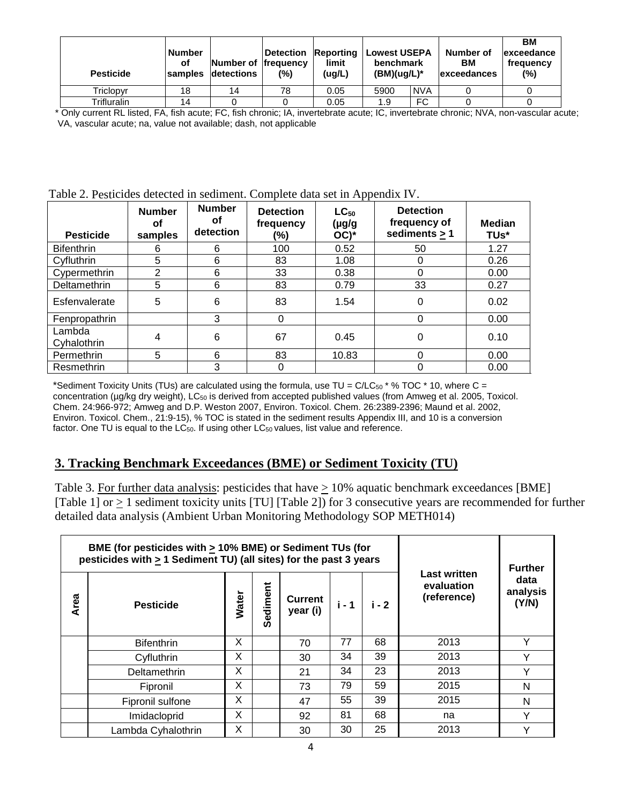| <b>Pesticide</b> | <b>Number</b><br>οf<br>samples | Number of frequency<br>detections | <b>∣Detection</b><br>(%) | Lowest USEPA<br>Reporting<br>limit<br>benchmark<br>$(BM)(ug/L)^*$<br>(ug/L)<br><b>NVA</b><br>5900<br>0.05 |     | Number of<br>BМ<br><b>lexceedances</b> | ВM<br>lexceedance<br>frequency<br>(%) |  |
|------------------|--------------------------------|-----------------------------------|--------------------------|-----------------------------------------------------------------------------------------------------------|-----|----------------------------------------|---------------------------------------|--|
| Triclopyr        | 18                             | 14                                | 78                       |                                                                                                           |     |                                        |                                       |  |
| Trifluralin      | 14                             |                                   |                          | 0.05                                                                                                      | 1.9 | <b>FC</b>                              |                                       |  |

\* Only current RL listed, FA, fish acute; FC, fish chronic; IA, invertebrate acute; IC, invertebrate chronic; NVA, non-vascular acute; VA, vascular acute; na, value not available; dash, not applicable

| Table 2. Pesticides detected in sediment. Complete data set in Appendix IV. |
|-----------------------------------------------------------------------------|
|-----------------------------------------------------------------------------|

| <b>Pesticide</b>      | <b>Number</b><br>οf<br>samples | <b>Number</b><br>οf<br>detection | <b>Detection</b><br>frequency<br>(%) | $LC_{50}$<br>(µg/g<br>$OC)^*$ | <b>Detection</b><br>frequency of<br>sediments $> 1$ | <b>Median</b><br>TUs* |
|-----------------------|--------------------------------|----------------------------------|--------------------------------------|-------------------------------|-----------------------------------------------------|-----------------------|
| <b>Bifenthrin</b>     | 6                              | 6                                | 100                                  | 0.52                          | 50                                                  | 1.27                  |
| Cyfluthrin            | 5                              | 6                                | 83                                   | 1.08                          | 0                                                   | 0.26                  |
| Cypermethrin          | 2                              | 6                                | 33                                   | 0.38                          | $\Omega$                                            | 0.00                  |
| Deltamethrin          | 5                              | 6                                | 83                                   | 0.79                          | 33                                                  | 0.27                  |
| Esfenvalerate         | 5                              | 6                                | 83                                   | 1.54                          | 0                                                   | 0.02                  |
| Fenpropathrin         |                                | 3                                | 0                                    |                               | $\Omega$                                            | 0.00                  |
| Lambda<br>Cyhalothrin | 4                              | 6                                | 67                                   | 0.45                          | 0                                                   | 0.10                  |
| Permethrin            | 5                              | 6                                | 83                                   | 10.83                         | $\Omega$                                            | 0.00                  |
| Resmethrin            |                                | 3                                | 0                                    |                               | 0                                                   | 0.00                  |

\*Sediment Toxicity Units (TUs) are calculated using the formula, use TU =  $C/LC_{50}$  \* % TOC \* 10, where C = concentration (µg/kg dry weight), LC<sub>50</sub> is derived from accepted published values (from Amweg et al. 2005, Toxicol. Chem. 24:966-972; Amweg and D.P. Weston 2007, Environ. Toxicol. Chem. 26:2389-2396; Maund et al. 2002, Environ. Toxicol. Chem., 21:9-15), % TOC is stated in the sediment results Appendix III, and 10 is a conversion factor. One TU is equal to the LC<sub>50</sub>. If using other LC<sub>50</sub> values, list value and reference.

#### **3. Tracking Benchmark Exceedances (BME) or Sediment Toxicity (TU)**

Table 3. For further data analysis: pesticides that have > 10% aquatic benchmark exceedances [BME] [Table 1] or  $\geq$  1 sediment toxicity units [TU] [Table 2]) for 3 consecutive years are recommended for further detailed data analysis (Ambient Urban Monitoring Methodology SOP METH014)

|      | BME (for pesticides with $\geq$ 10% BME) or Sediment TUs (for<br>pesticides with $\geq 1$ Sediment TU) (all sites) for the past 3 years |       | <b>Further</b> |                            |       |       |                                                  |                           |
|------|-----------------------------------------------------------------------------------------------------------------------------------------|-------|----------------|----------------------------|-------|-------|--------------------------------------------------|---------------------------|
| Area | <b>Pesticide</b>                                                                                                                        | Water | Sediment       | <b>Current</b><br>year (i) | i - 1 | i - 2 | <b>Last written</b><br>evaluation<br>(reference) | data<br>analysis<br>(Y/N) |
|      | <b>Bifenthrin</b>                                                                                                                       | X     |                | 70                         | 77    | 68    | 2013                                             | ν                         |
|      | Cyfluthrin                                                                                                                              | X     |                | 30                         | 34    | 39    | 2013                                             | v                         |
|      | Deltamethrin                                                                                                                            | X     |                | 21                         | 34    | 23    | 2013                                             | Υ                         |
|      | Fipronil                                                                                                                                | X     |                | 73                         | 79    | 59    | 2015                                             | N                         |
|      | Fipronil sulfone                                                                                                                        | X     |                | 47                         | 55    | 39    | 2015                                             | N                         |
|      | Imidacloprid                                                                                                                            | X     |                | 92                         | 81    | 68    | na                                               | Y                         |
|      | Lambda Cyhalothrin                                                                                                                      | X     |                | 30                         | 30    | 25    | 2013                                             | ν                         |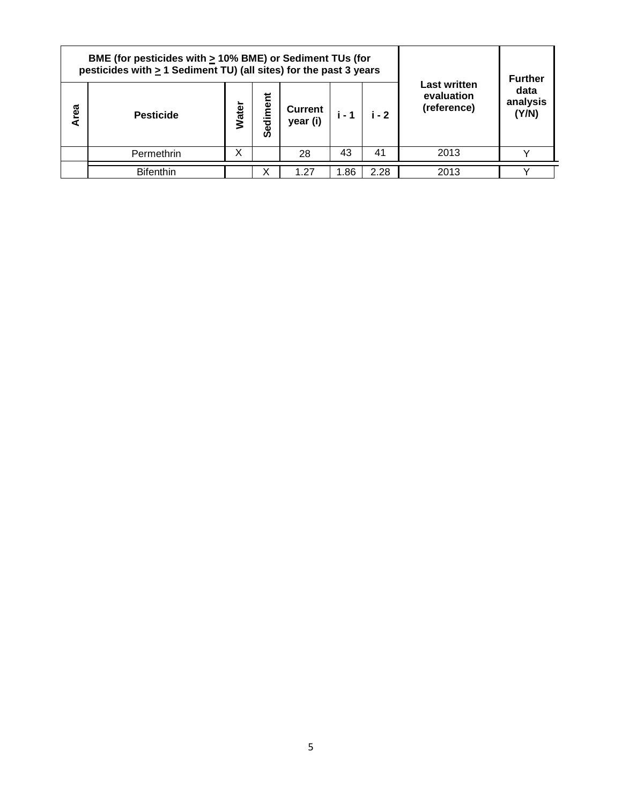|      | BME (for pesticides with $\geq$ 10% BME) or Sediment TUs (for<br>pesticides with $\geq 1$ Sediment TU) (all sites) for the past 3 years |       | <b>Further</b>            |                     |       |       |                                                  |                           |
|------|-----------------------------------------------------------------------------------------------------------------------------------------|-------|---------------------------|---------------------|-------|-------|--------------------------------------------------|---------------------------|
| Area | <b>Pesticide</b>                                                                                                                        | Water | <u>መ</u><br>E<br>ಕ್ಷ<br>Ø | Current<br>year (i) | i - 1 | i - 2 | <b>Last written</b><br>evaluation<br>(reference) | data<br>analysis<br>(Y/N) |
|      | Permethrin                                                                                                                              | X     |                           | 28                  | 43    | 41    | 2013                                             |                           |
|      | <b>Bifenthin</b>                                                                                                                        |       | ∧                         | 1.27                | 1.86  | 2.28  | 2013                                             |                           |